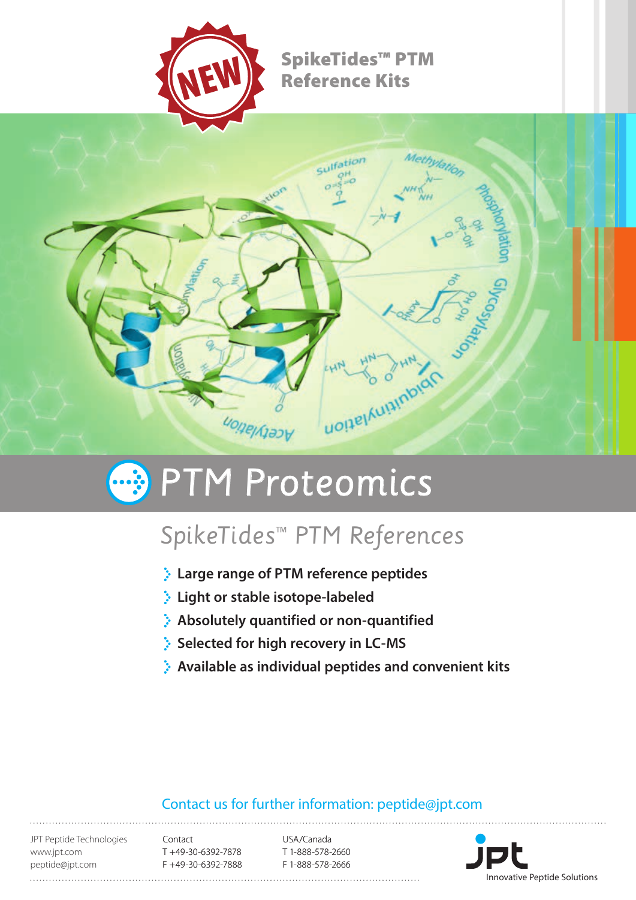

## SpikeTides™ PTM Reference Kits



# **B** PTM Proteomics

## SpikeTides™ PTM References

- **Large range of PTM reference peptides**
- **Light or stable isotope-labeled**
- **Absolutely quantified or non-quantified**
- **Selected for high recovery in LC-MS**
- **Available as individual peptides and convenient kits**

### Contact us for further information: peptide@jpt.com

JPT Peptide Technologies www.jpt.com peptide@jpt.com

Contact T +49-30-6392-7878 F +49-30-6392-7888

USA/Canada T 1-888-578-2660 F 1-888-578-2666